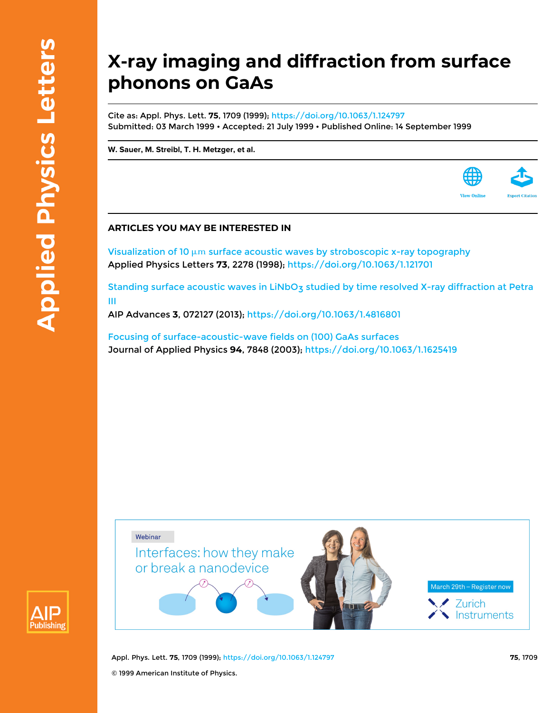**Publishing** 

## **X-ray imaging and diffraction from surface phonons on GaAs**

Cite as: Appl. Phys. Lett. **75**, 1709 (1999); <https://doi.org/10.1063/1.124797> Submitted: 03 March 1999 • Accepted: 21 July 1999 • Published Online: 14 September 1999

**[W. Sauer,](https://aip.scitation.org/author/Sauer%2C+W) [M. Streibl](https://aip.scitation.org/author/Streibl%2C+M), [T. H. Metzger](https://aip.scitation.org/author/Metzger%2C+T+H), et al.**

## **ARTICLES YOU MAY BE INTERESTED IN**

Visualization of 10  $\mu$ m [surface acoustic waves by stroboscopic x-ray topography](https://aip.scitation.org/doi/10.1063/1.121701) Applied Physics Letters **73**, 2278 (1998); <https://doi.org/10.1063/1.121701>

Standing surface acoustic waves in LiNbO<sub>3</sub> studied by time resolved X-ray diffraction at Petra [III](https://aip.scitation.org/doi/10.1063/1.4816801)

AIP Advances **3**, 072127 (2013); <https://doi.org/10.1063/1.4816801>

[Focusing of surface-acoustic-wave fields on \(100\) GaAs surfaces](https://aip.scitation.org/doi/10.1063/1.1625419) Journal of Applied Physics **94**, 7848 (2003);<https://doi.org/10.1063/1.1625419>



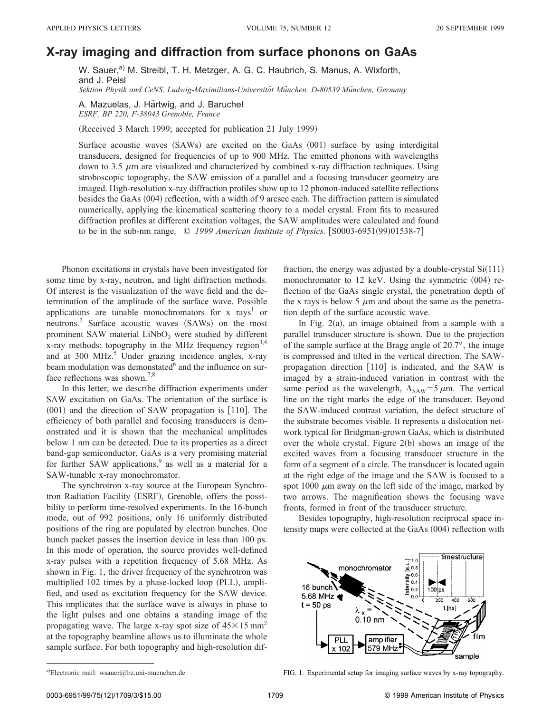## **X-ray imaging and diffraction from surface phonons on GaAs**

W. Sauer,<sup>a)</sup> M. Streibl, T. H. Metzger, A. G. C. Haubrich, S. Manus, A. Wixforth, and J. Peisl

*Sektion Physik and CeNS, Ludwig-Maximilians-Universita¨t Mu¨nchen, D-80539 Mu¨nchen, Germany*

A. Mazuelas, J. Härtwig, and J. Baruchel *ESRF, BP 220, F-38043 Grenoble, France*

(Received 3 March 1999; accepted for publication 21 July 1999)

Surface acoustic waves  $(SAWs)$  are excited on the GaAs  $(001)$  surface by using interdigital transducers, designed for frequencies of up to 900 MHz. The emitted phonons with wavelengths down to 3.5  $\mu$ m are visualized and characterized by combined x-ray diffraction techniques. Using stroboscopic topography, the SAW emission of a parallel and a focusing transducer geometry are imaged. High-resolution x-ray diffraction profiles show up to 12 phonon-induced satellite reflections besides the GaAs (004) reflection, with a width of 9 arcsec each. The diffraction pattern is simulated numerically, applying the kinematical scattering theory to a model crystal. From fits to measured diffraction profiles at different excitation voltages, the SAW amplitudes were calculated and found to be in the sub-nm range. © 1999 *American Institute of Physics*. [S0003-6951(99)01538-7]

Phonon excitations in crystals have been investigated for some time by x-ray, neutron, and light diffraction methods. Of interest is the visualization of the wave field and the determination of the amplitude of the surface wave. Possible applications are tunable monochromators for x rays<sup>1</sup> or neutrons.<sup>2</sup> Surface acoustic waves  $(SAWs)$  on the most prominent SAW material  $LiNbO<sub>3</sub>$  were studied by different x-ray methods: topography in the MHz frequency region<sup>3,4</sup> and at 300 MHz. <sup>5</sup> Under grazing incidence angles, x-ray beam modulation was demonstated and the influence on surface reflections was shown.<sup>7,8</sup>

In this letter, we describe diffraction experiments under SAW excitation on GaAs. The orientation of the surface is  $(001)$  and the direction of SAW propagation is  $[110]$ . The efficiency of both parallel and focusing transducers is demonstrated and it is shown that the mechanical amplitudes below 1 nm can be detected. Due to its properties as a direct band-gap semiconductor, GaAs is a very promising material for further SAW applications,<sup>9</sup> as well as a material for a SAW-tunable x-ray monochromator.

The synchrotron x-ray source at the European Synchrotron Radiation Facility (ESRF), Grenoble, offers the possibility to perform time-resolved experiments. In the 16-bunch mode, out of 992 positions, only 16 uniformly distributed positions of the ring are populated by electron bunches. One bunch packet passes the insertion device in less than 100 ps. In this mode of operation, the source provides well-defined x-ray pulses with a repetition frequency of 5.68 MHz. As shown in Fig. 1, the driver frequency of the synchrotron was multiplied 102 times by a phase-locked loop (PLL), amplified, and used as excitation frequency for the SAW device. This implicates that the surface wave is always in phase to the light pulses and one obtains a standing image of the propagating wave. The large x-ray spot size of  $45\times15$  mm<sup>2</sup> at the topography beamline allows us to illuminate the whole sample surface. For both topography and high-resolution diffraction, the energy was adjusted by a double-crystal  $Si(111)$ monochromator to  $12$  keV. Using the symmetric  $(004)$  reflection of the GaAs single crystal, the penetration depth of the x rays is below 5  $\mu$ m and about the same as the penetration depth of the surface acoustic wave.

In Fig.  $2(a)$ , an image obtained from a sample with a parallel transducer structure is shown. Due to the projection of the sample surface at the Bragg angle of 20.7°, the image is compressed and tilted in the vertical direction. The SAWpropagation direction  $[110]$  is indicated, and the SAW is imaged by a strain-induced variation in contrast with the same period as the wavelength,  $\Lambda_{\text{SAW}}=5 \mu \text{m}$ . The vertical line on the right marks the edge of the transducer. Beyond the SAW-induced contrast variation, the defect structure of the substrate becomes visible. It represents a dislocation network typical for Bridgman-grown GaAs, which is distributed over the whole crystal. Figure  $2(b)$  shows an image of the excited waves from a focusing transducer structure in the form of a segment of a circle. The transducer is located again at the right edge of the image and the SAW is focused to a spot 1000  $\mu$ m away on the left side of the image, marked by two arrows. The magnification shows the focusing wave fronts, formed in front of the transducer structure.

Besides topography, high-resolution reciprocal space intensity maps were collected at the GaAs (004) reflection with



a)Electronic mail: wsauer@lrz.uni-muenchen.de FIG. 1. Experimental setup for imaging surface waves by x-ray topography.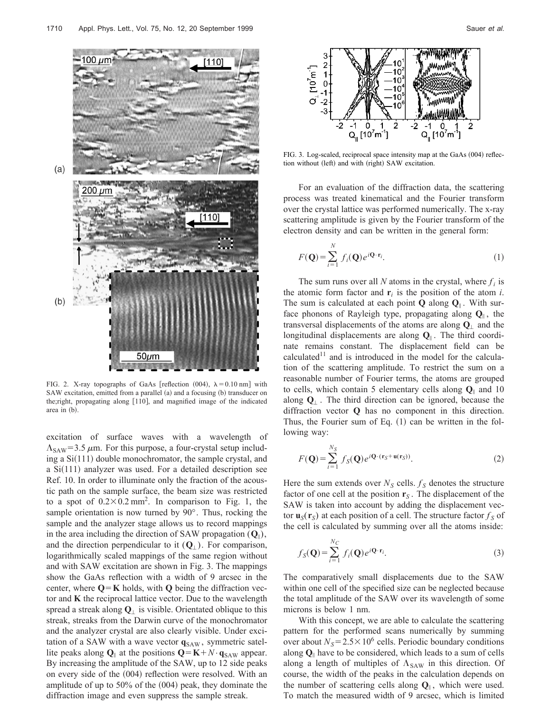

FIG. 2. X-ray topographs of GaAs [reflection (004),  $\lambda = 0.10$  nm] with SAW excitation, emitted from a parallel  $(a)$  and a focusing  $(b)$  transducer on the;right, propagating along [110], and magnified image of the indicated area in  $(b)$ .

excitation of surface waves with a wavelength of  $\Lambda_{\text{SAW}}$ =3.5  $\mu$ m. For this purpose, a four-crystal setup including a  $Si(111)$  double monochromator, the sample crystal, and a  $Si(111)$  analyzer was used. For a detailed description see Ref. 10. In order to illuminate only the fraction of the acoustic path on the sample surface, the beam size was restricted to a spot of  $0.2 \times 0.2$  mm<sup>2</sup>. In comparison to Fig. 1, the sample orientation is now turned by 90°. Thus, rocking the sample and the analyzer stage allows us to record mappings in the area including the direction of SAW propagation  $(Q_{\parallel})$ , and the direction perpendicular to it  $(Q_{\perp})$ . For comparison, logarithmically scaled mappings of the same region without and with SAW excitation are shown in Fig. 3. The mappings show the GaAs reflection with a width of 9 arcsec in the center, where  $Q = K$  holds, with **Q** being the diffraction vector and **K** the reciprocal lattice vector. Due to the wavelength spread a streak along  $Q_1$  is visible. Orientated oblique to this streak, streaks from the Darwin curve of the monochromator and the analyzer crystal are also clearly visible. Under excitation of a SAW with a wave vector  $q_{SAW}$ , symmetric satellite peaks along  $Q_{\parallel}$  at the positions  $Q = K + N \cdot q_{SAW}$  appear. By increasing the amplitude of the SAW, up to 12 side peaks on every side of the  $(004)$  reflection were resolved. With an amplitude of up to  $50\%$  of the  $(004)$  peak, they dominate the diffraction image and even suppress the sample streak.



FIG. 3. Log-scaled, reciprocal space intensity map at the GaAs  $(004)$  reflection without (left) and with (right) SAW excitation.

For an evaluation of the diffraction data, the scattering process was treated kinematical and the Fourier transform over the crystal lattice was performed numerically. The x-ray scattering amplitude is given by the Fourier transform of the electron density and can be written in the general form:

$$
F(\mathbf{Q}) = \sum_{i=1}^{N} f_i(\mathbf{Q}) e^{i\mathbf{Q} \cdot \mathbf{r}_i}.
$$
 (1)

The sum runs over all *N* atoms in the crystal, where  $f_i$  is the atomic form factor and  $\mathbf{r}_i$  is the position of the atom *i*. The sum is calculated at each point **Q** along **Q**<sup>i</sup> . With surface phonons of Rayleigh type, propagating along  $Q_{\parallel}$ , the transversal displacements of the atoms are along  $\mathbf{Q}_{\perp}$  and the longitudinal displacements are along  $Q_{\parallel}$ . The third coordinate remains constant. The displacement field can be calculated<sup>11</sup> and is introduced in the model for the calculation of the scattering amplitude. To restrict the sum on a reasonable number of Fourier terms, the atoms are grouped to cells, which contain 5 elementary cells along **Q**<sup>i</sup> and 10 along **Q**' . The third direction can be ignored, because the diffraction vector **Q** has no component in this direction. Thus, the Fourier sum of Eq.  $(1)$  can be written in the following way:

$$
F(\mathbf{Q}) = \sum_{i=1}^{N_S} f_S(\mathbf{Q}) e^{i\mathbf{Q} \cdot (\mathbf{r}_S + \mathbf{u}(\mathbf{r}_S))}.
$$
 (2)

Here the sum extends over  $N<sub>S</sub>$  cells.  $f<sub>S</sub>$  denotes the structure factor of one cell at the position  $\mathbf{r}_s$ . The displacement of the SAW is taken into account by adding the displacement vector  $\mathbf{u}_S(\mathbf{r}_S)$  at each position of a cell. The structure factor  $f_S$  of the cell is calculated by summing over all the atoms inside:

$$
f_S(\mathbf{Q}) = \sum_{i=1}^{N_C} f_i(\mathbf{Q}) e^{i\mathbf{Q} \cdot \mathbf{r}_i}.
$$
 (3)

The comparatively small displacements due to the SAW within one cell of the specified size can be neglected because the total amplitude of the SAW over its wavelength of some microns is below 1 nm.

With this concept, we are able to calculate the scattering pattern for the performed scans numerically by summing over about  $N_s = 2.5 \times 10^6$  cells. Periodic boundary conditions along **Q**<sup>i</sup> have to be considered, which leads to a sum of cells along a length of multiples of  $\Lambda_{SAW}$  in this direction. Of course, the width of the peaks in the calculation depends on the number of scattering cells along  $Q_{\parallel}$ , which were used. To match the measured width of 9 arcsec, which is limited